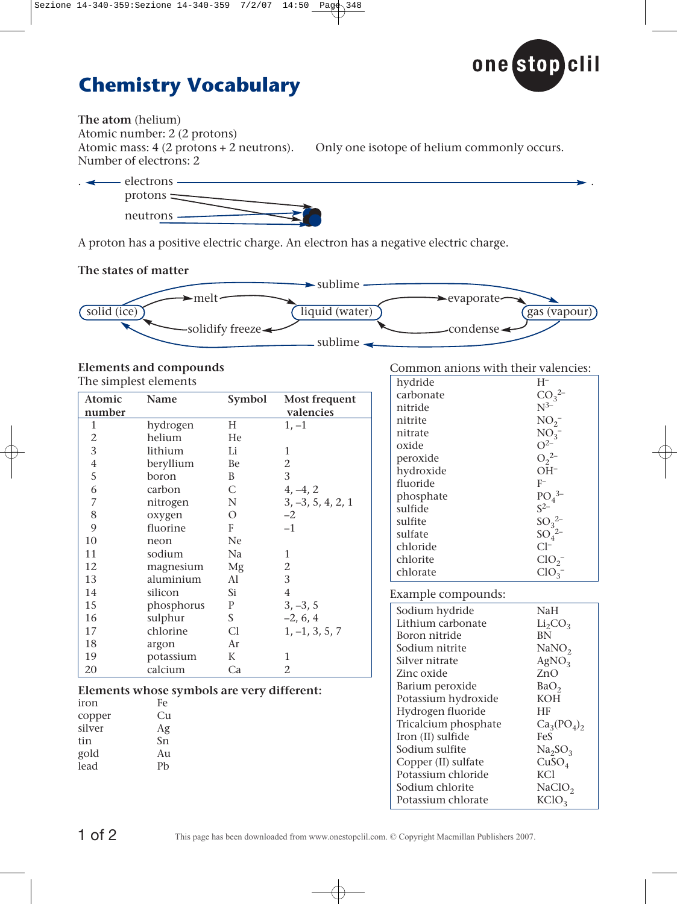



**The atom** (helium) Atomic number: 2 (2 protons)<br>Atomic mass: 4 (2 protons + 2 neutrons). Number of electrons: 2

Only one isotope of helium commonly occurs.



A proton has a positive electric charge. An electron has a negative electric charge.

### **The states of matter**



### **Elements and compounds**

The simplest elements

| Atomic         | <b>Name</b> |    | Most frequent       |  |
|----------------|-------------|----|---------------------|--|
| number         |             |    | valencies           |  |
| 1              | hydrogen    | H  | $1, -1$             |  |
| $\mathbf{2}$   | helium      | He |                     |  |
| 3              | lithium     | Li | 1                   |  |
| $\overline{4}$ | beryllium   | Be | 2                   |  |
| 5              | boron       | B  | 3                   |  |
| 6              | carbon      | C  | $4, -4, 2$          |  |
| 7              | nitrogen    | N  | $3, -3, 5, 4, 2, 1$ |  |
| 8              | oxygen      | O  | $-2$                |  |
| 9              | fluorine    | F  | $-1$                |  |
| 10             | neon        | Ne |                     |  |
| 11             | sodium      | Na | 1                   |  |
| 12             | magnesium   | Mg | 2                   |  |
| 13             | aluminium   | Al | 3                   |  |
| 14             | silicon     | Si | $\overline{4}$      |  |
| 15             | phosphorus  | Ρ  | $3, -3, 5$          |  |
| 16             | sulphur     | S. | $-2, 6, 4$          |  |
| 17             | chlorine    | Cl | $1, -1, 3, 5, 7$    |  |
| 18             | argon       | Ar |                     |  |
| 19             | potassium   | K  | 1                   |  |
| 20             | calcium     | Ca | 2                   |  |

### **Elements whose symbols are very different:**

| iron   | Fe. |
|--------|-----|
| copper | Cи  |
| silver | Ag  |
| tin    | Sn  |
| gold   | Au  |
| lead   | Ph  |

Common anions with their valencies:

| hydride              | $H^-$                                   |
|----------------------|-----------------------------------------|
| carbonate            | $CO_3^2$                                |
| nitride              | $\mathrm{N}^{3-}$                       |
| nitrite              | $NO_2^-$                                |
| nitrate              | $NO_3^-$                                |
| oxide                | $O^{2-}$                                |
| peroxide             | $O_2^2$ <sup>-</sup>                    |
| hydroxide            | OH <sup>-</sup>                         |
| fluoride             | $F^-$                                   |
| phosphate            | PO <sub>4</sub> <sup>3–</sup>           |
| sulfide              | $S^{2-}$                                |
| sulfite              | $SO_3^{2-}$                             |
| sulfate              | $SO_4^2$ <sup>-</sup>                   |
| chloride             | $Cl^{-}$                                |
| chlorite             | ClO <sub>2</sub>                        |
| chlorate             | ClO <sub>3</sub>                        |
|                      |                                         |
| Example compounds:   |                                         |
| Sodium hydride       | NaH                                     |
| Lithium carbonate    | Li <sub>2</sub> CO <sub>3</sub>         |
| Boron nitride        | <b>BN</b>                               |
| Sodium nitrite       | NaNO <sub>2</sub>                       |
| Silver nitrate       | AgNO <sub>3</sub>                       |
| Zinc oxide           | ZnO                                     |
| Barium peroxide      | BaO <sub>2</sub>                        |
| Potassium hydroxide  | <b>KOH</b>                              |
| Hydrogen fluoride    | HF                                      |
| Tricalcium phosphate | $Ca3(PO4)2$                             |
| Iron (II) sulfide    | FeS                                     |
| Sodium sulfite       | Na <sub>2</sub> SO <sub>3</sub>         |
| Copper (II) sulfate  | CuSO <sub>4</sub>                       |
| Potassium chloride   | KCl                                     |
| Sodium chlorite      | NaClO <sub>2</sub><br>KClO <sub>3</sub> |
| Potassium chlorate   |                                         |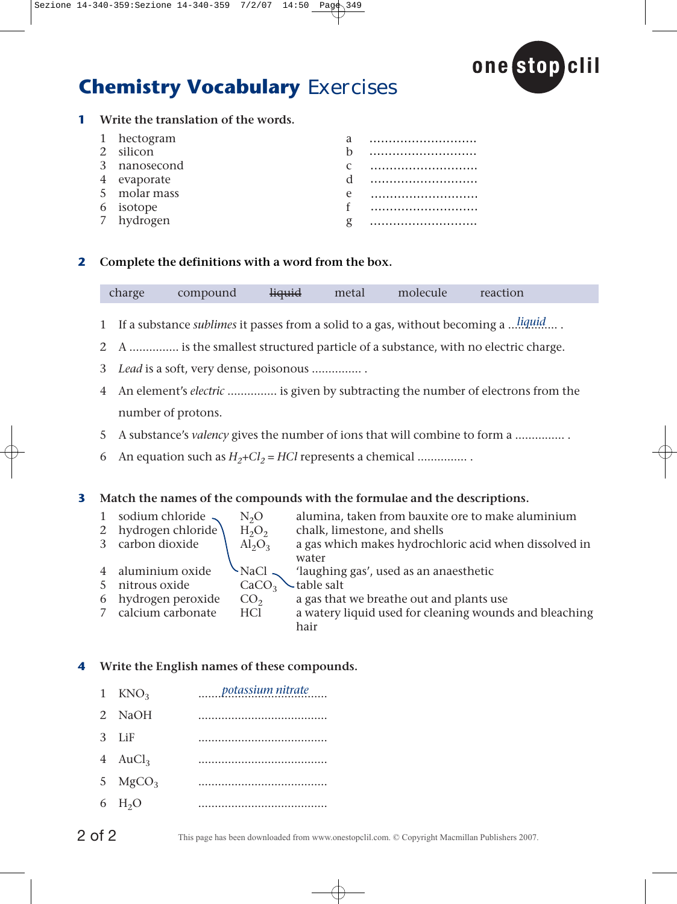# **Chemistry Vocabulary Exercises**



#### **1 Write the translation of the words.**

| 1 hectogram             | a |  |
|-------------------------|---|--|
| 2 silicon               |   |  |
| 3 nanosecond            |   |  |
| 4 evaporate             |   |  |
| 5 molar mass            | e |  |
| 6 isotope<br>7 hydrogen |   |  |
|                         |   |  |

#### **2 Complete the definitions with a word from the box.**

|  | ATOF<br>$\check{ }$ | ompound | <b>liquid</b><br>$\overline{\phantom{a}}$ | tdl | molecule | е ас |
|--|---------------------|---------|-------------------------------------------|-----|----------|------|
|--|---------------------|---------|-------------------------------------------|-----|----------|------|

- 1 If a substance *sublimes* it passes from a solid to a gas, without becoming a ...*liquid* ....
- 2 A ............... is the smallest structured particle of a substance, with no electric charge.
- 3 *Lead* is a soft, very dense, poisonous ............... .
- 4 An element's *electric* ............... is given by subtracting the number of electrons from the number of protons.
- 5 A substance's *valency* gives the number of ions that will combine to form a ............... .
- 6 An equation such as  $H_2 + Cl_2 = HCl$  represents a chemical ................

## **3 . Match the names of the compounds with the formulae and the descriptions**

1 sodium chloride  $N_2O$  alumina, taken from bauxite ore to make aluminium<br>2 hydrogen chloride  $H_2O_2$  chalk, limestone, and shells 2 hydrogen chloride  $H_2O_2$  chalk, limestone, and shells<br>3 carbon dioxide  $H_2O_3$  a gas which makes hydrochl a gas which makes hydrochloric acid when dissolved in water 4 aluminium oxide NaCl laughing gas', used as an anaesthetic 5 nitrous oxide  $CaCO<sub>3</sub> \setminus$  table salt<br>6 hydrogen peroxide  $CO<sub>2</sub>$  a gas that 6 hydrogen peroxide  $CO<sub>2</sub>$  a gas that we breathe out and plants use<br>7 calcium carbonate HCl a watery liquid used for cleaning wound a watery liquid used for cleaning wounds and bleaching hair

#### **4 Write the English names of these compounds.**

- 1 KNO *potassium nitrate* <sup>3</sup> .......................................
- 2 NaOH .......................................
- 3 LiF .......................................
- 4 AuCl3 .......................................
- 5 MgCO3 .......................................
- 6 H2O .......................................